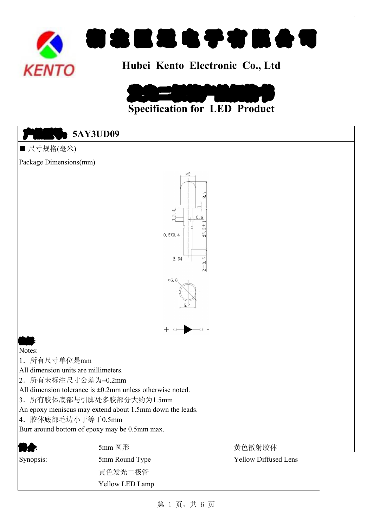



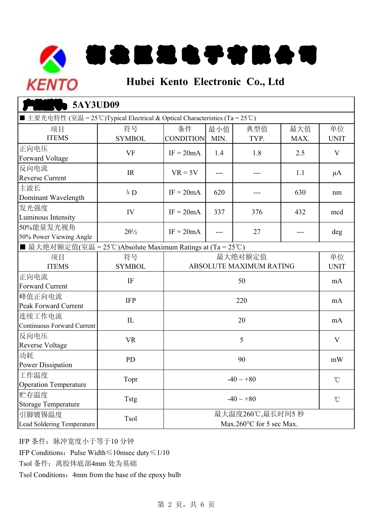# 初 老 臣 退 电 子 有 眠 会 可 **KENTO Hubei Kento Electronic Co., Ltd**

#### **SAY3UD09** | 项目 符号 条件 最小值 | 典型值 | 最大值 | 单位 SYMBOL CONDITION MIN. TYP. MAX. UNIT 正向电压 Forward Voltage 反向电流 Reverse Current 主波长 Dominant Wavelength 发光强度 Euminous Intensity IV 50%能量发光视角 50% Power Viewing Angle ■ 最大绝对额定值(室温 <sup>=</sup> <sup>25</sup>℃)Absolute Maximum Ratings at (Ta <sup>=</sup> <sup>25</sup>℃) ┃ 项目 符号 ┃ 最大绝对额定值 单位 ITEMS SYMBOL UNIT ABSOLUTE MAXIMUM RATING 正向电流 Forward Current 峰值正向电流 Peak Forward Current 连续工作电流 Continuous Forward Current 反向电压 Reverse Voltage 功耗 Power Dissipation 工作温度 Operation Temperature 贮存温度 Storage Temperature 引脚镀锡温度 Lead Soldering Temperature 90  $-40 \sim +80$  $-40 \sim +80$  °C mA mA mA V mW 1.8 1 2.5 1 V ---  $1.1 \mu A$ --- 1 630 1 nm  $432 \qquad \qquad \text{med}$ deg 1.1 376 ---1.8 --- $-$ 337 27 50 220 20 5  $VF$   $IF = 20mA$  | 1.4 --- $\lambda$  D IF = 20 mA | 620 IV  $IF = 20mA + 337$ ---PD Topr Tstg Tsol IR  $VR = 5V$  $2\theta\%$  IF =  $20mA$ マンクロ ランス ワイン 项目 しょうかい じゅうかい ITEMS VF IR λD  $2\theta\frac{1}{2}$ ■ 主要光电特性 (室温 = 25℃)Typical Electrical & Optical Characteristics (Ta = 25℃) 最大温度260℃,最长时间<sup>5</sup> 秒 Max.260°C for 5 sec Max. <u>IF and the second second in the second second in the second second in the second second in the second second in </u> IFP  $\mathbb{L}$ VR

IFP 条件:脉冲宽度小于等于10 分钟

IFP Conditions:Pulse Width≤10msec duty≤1/10

Tsol 条件:离胶体底部4mm 处为基础

Tsol Conditions: 4mm from the base of the epoxy bulb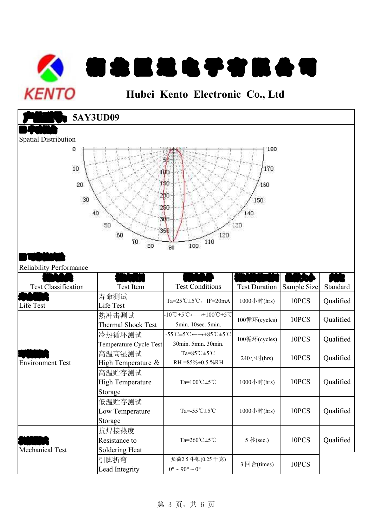

| <b>KENTO</b>                                       |                                                     | Hubei Kento Electronic Co., Ltd                                                                                                     |                                        |                      |                       |
|----------------------------------------------------|-----------------------------------------------------|-------------------------------------------------------------------------------------------------------------------------------------|----------------------------------------|----------------------|-----------------------|
|                                                    | <b>5AY3UD09</b>                                     |                                                                                                                                     |                                        |                      |                       |
| <b>Spatial Distribution</b><br>0<br>10<br>20<br>30 | 40<br>50<br>60<br>70<br>80                          | 100<br>'60<br>2рө<br>250<br>380<br>120<br>110<br>100<br>$90^{\circ}$                                                                | 180<br>170<br>160<br>150<br>140<br>:30 |                      |                       |
|                                                    |                                                     |                                                                                                                                     |                                        |                      |                       |
| <b>Reliability Performance</b>                     |                                                     |                                                                                                                                     |                                        |                      |                       |
| <b>Test Classification</b><br>Life Test            | Test Item<br>寿命测试<br>Life Test                      | <b>Test Conditions</b><br>Ta=25°C $\pm$ 5°C, IF=20mA                                                                                | <b>Test Duration</b><br>1000小时(hrs)    | Sample Size<br>10PCS | Standard<br>Qualified |
|                                                    | 热冲击测试<br><b>Thermal Shock Test</b>                  | $-10^{\circ}\text{C} \pm 5^{\circ}\text{C} \leftarrow \rightarrow +100^{\circ}\text{C} \pm 5^{\circ}\text{C}$<br>5min. 10sec. 5min. | 100循环(cycles)                          | 10PCS                | Qualified             |
|                                                    | 冷热循环测试<br>Temperature Cycle Test                    | $-55^{\circ}\text{C} \pm 5^{\circ}\text{C} \leftarrow \rightarrow +85^{\circ}\text{C} \pm 5^{\circ}\text{C}$<br>30min. 5min. 30min. | 100循环(cycles)                          | 10PCS                | Qualified             |
| <b>Environment Test</b>                            | 高温高湿测试<br>High Temperature &                        | Ta= $85^{\circ}$ C $\pm 5^{\circ}$ C<br>RH = 85% ± 0.5 % RH                                                                         | 240小时(hrs)                             | 10PCS                | Qualified             |
|                                                    | 高温贮存测试<br><b>High Temperature</b><br>Storage        | Ta= $100^{\circ}$ C $\pm$ 5 $^{\circ}$ C                                                                                            | 1000小时(hrs)                            | 10PCS                | Qualified             |
|                                                    | 低温贮存测试<br>Low Temperature                           | Ta=-55 $°C \pm 5°C$                                                                                                                 | 1000小时(hrs)                            | 10PCS                | Qualified             |
| Mechanical Test                                    | Storage<br>抗焊接热度<br>Resistance to<br>Soldering Heat | Ta=260℃±5℃                                                                                                                          | 5 秒(sec.)                              | 10PCS                | Qualified             |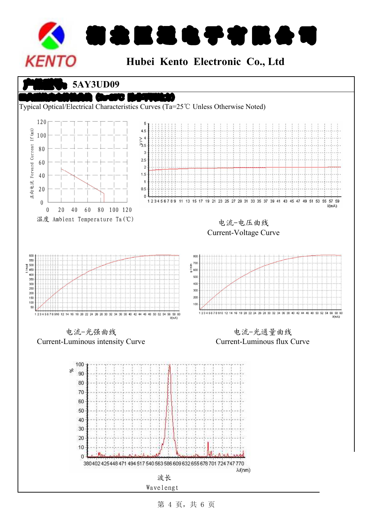

 $\bullet$  5AY3UD09



第 4 页,共 6 页